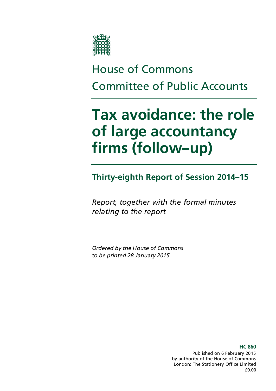

# House of Commons Committee of Public Accounts

# **Tax avoidance: the role of large accountancy firms (follow–up)**

### **Thirty-eighth Report of Session 2014–15**

*Report, together with the formal minutes relating to the report*

*Ordered by the House of Commons to be printed 28 January 2015*

**HC 860**

Published on 6 February 2015 by authority of the House of Commons London: The Stationery Office Limited £0.00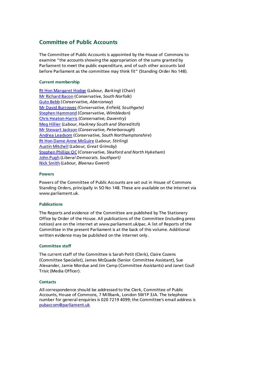### **Committee of Public Accounts**

The Committee of Public Accounts is appointed by the House of Commons to examine "the accounts showing the appropriation of the sums granted by Parliament to meet the public expenditure, and of such other accounts laid before Parliament as the committee may think fit" (Standing Order No 148).

#### **Current membership**

[Rt Hon Margaret Hodge](http://www.parliament.uk/biographies/commons/margaret-hodge/140) (*Labour, Barking*) (Chair) [Mr Richard Bacon](http://www.parliament.uk/biographies/commons/mr-richard-bacon/1451) (*Conservative, South Norfolk*) [Guto Bebb](http://www.parliament.uk/biographies/commons/guto-bebb/3910) (*Conservative, Aberconwy*) [Mr David Burrowes](http://www.parliament.uk/biographies/commons/mr-david-burrowes/1518) *(Conservative, Enfield, Southgate)* [Stephen Hammond](http://www.parliament.uk/biographies/commons/stephen-hammond/1585) (*Conservative, Wimbledon*) [Chris Heaton-Harris](http://www.parliament.uk/biographies/commons/chris-heaton-harris/3977) (*Conservative, Daventry*) [Meg Hillier](http://www.parliament.uk/biographies/commons/meg-hillier/1524) (*Labour, Hackney South and Shoreditch*) [Mr Stewart Jackson](http://www.parliament.uk/biographies/commons/mr-stewart-jackson/1551) (*Conservative, Peterborough*) [Andrea Leadsom](http://www.parliament.uk/biographies/commons/andrea-leadsom/4117) (*Conservative, South Northamptonshire*) [Rt Hon Dame Anne McGuire](http://www.parliament.uk/biographies/commons/mrs-anne-mcguire/636) (*Labour, Stirling*) [Austin Mitchell](http://www.parliament.uk/biographies/commons/austin-mitchell/372) (*Labour, Great Grimsby*) [Stephen Phillips QC](http://www.parliament.uk/biographies/commons/stephen-phillips/4054) (*Conservative, Sleaford and North Hykeham*) [John Pugh](http://www.parliament.uk/biographies/commons/john-pugh/1454) (*Liberal Democrats. Southport)* [Nick Smith](http://www.parliament.uk/biographies/commons/nick-smith/3928) (*Labour, Blaenau Gwent*)

#### **Powers**

Powers of the Committee of Public Accounts are set out in House of Commons Standing Orders, principally in SO No 148. These are available on the Internet via www.parliament.uk.

#### **Publications**

The Reports and evidence of the Committee are published by The Stationery Office by Order of the House. All publications of the Committee (including press notices) are on the internet at www.parliament.uk/pac. A list of Reports of the Committee in the present Parliament is at the back of this volume. Additional written evidence may be published on the internet only.

#### **Committee staff**

The current staff of the Committee is Sarah Petit (Clerk), Claire Cozens (Committee Specialist), James McQuade (Senior Committee Assistant), Sue Alexander, Jamie Mordue and Jim Camp (Committee Assistants) and Janet Coull Trisic (Media Officer).

#### **Contacts**

All correspondence should be addressed to the Clerk, Committee of Public Accounts, House of Commons, 7 Millbank, London SW1P 3JA. The telephone number for general enquiries is 020 7219 4099; the Committee's email address is [pubaccom@parliament.uk](mailto:pubaccom@parliament.uk)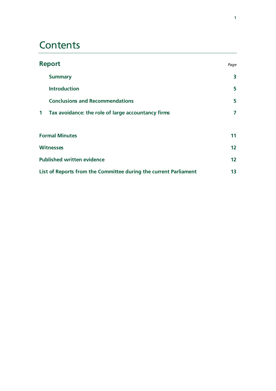## **Contents**

| <b>Report</b>                                                    |                                                    | Page    |
|------------------------------------------------------------------|----------------------------------------------------|---------|
|                                                                  | <b>Summary</b>                                     | 3       |
|                                                                  | <b>Introduction</b>                                | 5       |
|                                                                  | <b>Conclusions and Recommendations</b>             | 5       |
| $\mathbf 1$                                                      | Tax avoidance: the role of large accountancy firms | 7       |
|                                                                  |                                                    |         |
| <b>Formal Minutes</b>                                            |                                                    | 11      |
| <b>Witnesses</b>                                                 |                                                    | $12 \,$ |
| <b>Published written evidence</b>                                |                                                    | 12      |
| List of Reports from the Committee during the current Parliament |                                                    | 13      |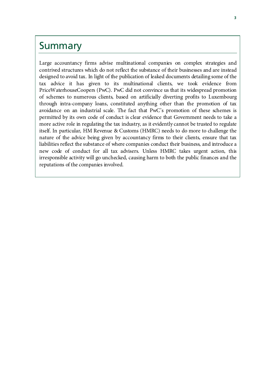### Summary

Large accountancy firms advise multinational companies on complex strategies and contrived structures which do not reflect the substance of their businesses and are instead designed to avoid tax. In light of the publication of leaked documents detailing some of the tax advice it has given to its multinational clients, we took evidence from PriceWaterhouseCoopers (PwC). PwC did not convince us that its widespread promotion of schemes to numerous clients, based on artificially diverting profits to Luxembourg through intra-company loans, constituted anything other than the promotion of tax avoidance on an industrial scale. The fact that PwC's promotion of these schemes is permitted by its own code of conduct is clear evidence that Government needs to take a more active role in regulating the tax industry, as it evidently cannot be trusted to regulate itself. In particular, HM Revenue & Customs (HMRC) needs to do more to challenge the nature of the advice being given by accountancy firms to their clients, ensure that tax liabilities reflect the substance of where companies conduct their business, and introduce a new code of conduct for all tax advisers. Unless HMRC takes urgent action, this irresponsible activity will go unchecked, causing harm to both the public finances and the reputations of the companies involved.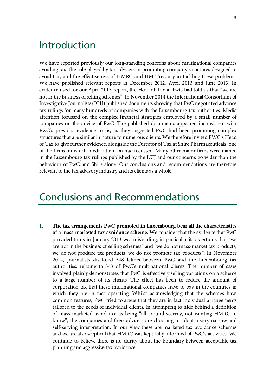### Introduction

We have reported previously our long-standing concerns about multinational companies avoiding tax, the role played by tax advisers in promoting company structures designed to avoid tax, and the effectiveness of HMRC and HM Treasury in tackling these problems. We have published relevant reports in December 2012, April 2013 and June 2013. In evidence used for our April 2013 report, the Head of Tax at PwC had told us that "we are not in the business of selling schemes". In November 2014 the International Consortium of Investigative Journalists(ICIJ) published documents showing that PwC negotiated advance tax rulings for many hundreds of companies with the Luxembourg tax authorities. Media attention focussed on the complex financial strategies employed by a small number of companies on the advice of PwC. The published documents appeared inconsistent with PwC's previous evidence to us, as they suggested PwC had been promoting complex structures that are similar in nature to numerous clients. We therefore invited PWC's Head of Tax to give further evidence, alongside the Director of Tax at Shire Pharmaceuticals, one of the firms on which media attention had focussed. Many other major firms were named in the Luxembourg tax rulings published by the ICIJ and our concerns go wider than the behaviour of PwC and Shire alone. Our conclusions and recommendations are therefore relevant to the tax advisory industry and its clients as a whole.

### Conclusions and Recommendations

**1. The tax arrangements PwC promoted in Luxembourg bear all the characteristics of a mass-marketed tax avoidance scheme.** We consider that the evidence that PwC provided to us in January 2013 was misleading, in particular its assertions that "we are not in the business of selling schemes" and "we do not mass-market tax products, we do not produce tax products, we do not promote tax products". In November 2014, journalists disclosed 548 letters between PwC and the Luxembourg tax authorities, relating to 343 of PwC's multinational clients. The number of cases involved plainly demonstrates that PwC is effectively selling variations on a scheme to a large number of its clients. The effect has been to reduce the amount of corporation tax that these multinational companies have to pay in the countries in which they are in fact operating. Whilst acknowledging that the schemes have common features, PwC tried to argue that they are in fact individual arrangements tailored to the needs of individual clients. In attempting to hide behind a definition of mass-marketed avoidance as being "all around secrecy, not wanting HMRC to know", the companies and their advisers are choosing to adopt a very narrow and self-serving interpretation. In our view these are marketed tax avoidance schemes and we are also sceptical that HMRC was kept fully informed of PwC's activities. We continue to believe there is no clarity about the boundary between acceptable tax planning and aggressive tax avoidance.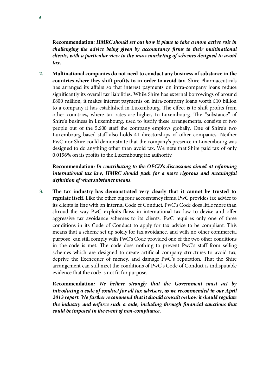**Recommendation***: HMRC should set out how it plans to take a more active role in challenging the advice being given by accountancy firms to their multinational clients, with a particular view to the mass marketing of schemes designed to avoid tax.*

**2. Multinational companies do not need to conduct any business of substance in the countries where they shift profits to in order to avoid tax**. Shire Pharmaceuticals has arranged its affairs so that interest payments on intra-company loans reduce significantly its overall tax liabilities. While Shire has external borrowings of around  $£800$  million, it makes interest payments on intra-company loans worth  $£10$  billion to a company it has established in Luxembourg. The effect is to shift profits from other countries, where tax rates are higher, to Luxembourg. The "substance" of Shire's business in Luxembourg, used to justify these arrangements, consists of two people out of the 5,600 staff the company employs globally. One of Shire's two Luxembourg based staff also holds 41 directorships of other companies. Neither PwC nor Shire could demonstrate that the company's presence in Luxembourg was designed to do anything other than avoid tax. We note that Shire paid tax of only 0.0156% on its profits to the Luxembourg tax authority.

### **Recommendation***: In contributing to the OECD's discussions aimed at reforming international tax law, HMRC should push for a more rigorous and meaningful definition of what substance means.*

**3. The tax industry has demonstrated very clearly that it cannot be trusted to regulate itself.** Like the other big four accountancy firms, PwC provides tax advice to its clients in line with an internal Code of Conduct. PwC's Code does little more than shroud the way PwC exploits flaws in international tax law to devise and offer aggressive tax avoidance schemes to its clients. PwC requires only one of three conditions in its Code of Conduct to apply for tax advice to be compliant. This means that a scheme set up solely for tax avoidance, and with no other commercial purpose, can still comply with PwC's Code provided one of the two other conditions in the code is met. The code does nothing to prevent PwC's staff from selling schemes which are designed to create artificial company structures to avoid tax, deprive the Exchequer of money, and damage PwC's reputation. That the Shire arrangement can still meet the conditions of PwC's Code of Conduct is indisputable evidence that the code is not fit for purpose.

**Recommendation***: We believe strongly that the Government must act by introducing a code of conduct for all tax advisers, as we recommended in our April 2013 report. We further recommend that it should consult on how it should regulate the industry and enforce such a code, including through financial sanctions that could be imposed in the event of non-compliance.*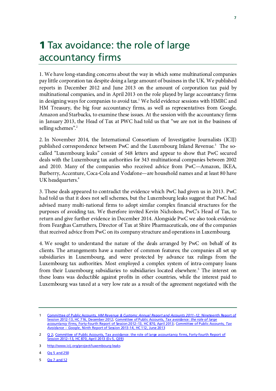# 1 Tax avoidance: the role of large accountancy firms

1. We have long-standing concerns about the way in which some multinational companies pay little corporation tax despite doing a large amount of business in the UK. We published reports in December 2012 and June 2013 on the amount of corporation tax paid by multinational companies, and in April 2013 on the role played by large accountancy firms in designing ways for companies to avoid tax.<sup>1</sup> We held evidence sessions with HMRC and HM Treasury, the big four accountancy firms, as well as representatives from Google, Amazon and Starbucks, to examine these issues. At the session with the accountancy firms in January 2013, the Head of Tax at PWC had told us that "we are not in the business of selling schemes". [2](#page-8-1)

2. In November 2014, the International Consortium of Investigative Journalists (ICIJ) published correspondence between PwC and the Luxembourg Inland Revenue.<sup>[3](#page-8-2)</sup> The socalled "Luxembourg leaks" consist of 548 letters and appear to show that PwC secured deals with the Luxembourg tax authorities for 343 multinational companies between 2002 and 2010. Many of the companies who received advice from PwC—Amazon, IKEA, Burberry, Accenture, Coca-Cola and Vodafone—are household names and at least 80 have UK headquarters.<sup>4</sup>

3. These deals appeared to contradict the evidence which PwC had given us in 2013. PwC had told us that it does not sell schemes, but the Luxembourg leaks suggest that PwC had advised many multi-national firms to adopt similar complex financial structures for the purposes of avoiding tax. We therefore invited Kevin Nicholson, PwC's Head of Tax, to return and give further evidence in December 2014. Alongside PwC we also took evidence from Fearghas Carruthers, Director of Tax at Shire Pharmaceuticals, one of the companies that received advice from PwC on its company structure and operations in Luxembourg.

4. We sought to understand the nature of the deals arranged by PwC on behalf of its clients. The arrangements have a number of common features; the companies all set up subsidiaries in Luxembourg, and were protected by advance tax rulings from the Luxembourg tax authorities. Most employed a complex system of intra-company loans from their Luxembourg subsidiaries to subsidiaries located elsewhere.<sup>[5](#page-8-4)</sup> The interest on these loans was deductible against profits in other countries, while the interest paid to Luxembourg was taxed at a very low rate as a result of the agreement negotiated with the

<span id="page-8-4"></span>5 [Qq 7 and 12](http://data.parliament.uk/writtenevidence/committeeevidence.svc/evidencedocument/public-accounts-committee/tax-avoidance-the-role-of-large-accountancy-firms-followup/oral/16207.html)

<span id="page-8-0"></span><sup>1</sup> Committee of Public Accounts, *[HM Revenue & Customs: Annual Report and Accounts 2011–12](http://www.publications.parliament.uk/pa/cm201213/cmselect/cmpubacc/716/716.pdf)*, Nineteenth Report of [Session 2012-13, HC 716, December 2012;](http://www.publications.parliament.uk/pa/cm201213/cmselect/cmpubacc/716/716.pdf) Committee of Public Accounts, *[Tax avoidance: the role of large](http://www.publications.parliament.uk/pa/cm201213/cmselect/cmpubacc/870/870.pdf)  accountancy firms,* [Forty-fourth Report of Session 2012–13, HC 870, April 2013](http://www.publications.parliament.uk/pa/cm201213/cmselect/cmpubacc/870/870.pdf)[; Committee of Public Accounts,](http://www.publications.parliament.uk/pa/cm201314/cmselect/cmpubacc/112/112.pdf) *Tax Avoidance – Google*[, Ninth Report of Session 2013-14, HC 112, June 2013](http://www.publications.parliament.uk/pa/cm201314/cmselect/cmpubacc/112/112.pdf)

<span id="page-8-1"></span><sup>2</sup> [Q 2;](http://data.parliament.uk/writtenevidence/committeeevidence.svc/evidencedocument/public-accounts-committee/tax-avoidance-the-role-of-large-accountancy-firms-followup/oral/16207.html) Committee of Public Accounts, Tax avoidance: the role of large accountancy firms, Forty-fourth Report of [Session 2012–13, HC 870, April 2013 \(Ev 5, Q39\)](http://www.publications.parliament.uk/pa/cm201213/cmselect/cmpubacc/870/870.pdf)

<span id="page-8-2"></span><sup>3</sup> <http://www.icij.org/project/luxembourg-leaks>

<span id="page-8-3"></span><sup>4</sup> [Qq 5 and 250](http://data.parliament.uk/writtenevidence/committeeevidence.svc/evidencedocument/public-accounts-committee/tax-avoidance-the-role-of-large-accountancy-firms-followup/oral/16207.html)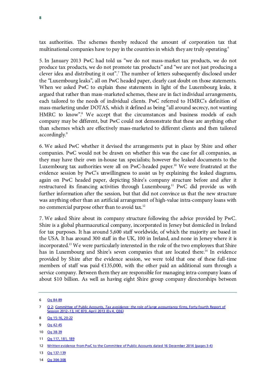tax authorities. The schemes thereby reduced the amount of corporation tax that multinational companies have to pay in the countries in which they are truly operating.<sup>[6](#page-9-0)</sup>

5. In January 2013 PwC had told us "we do not mass-market tax products, we do not produce tax products, we do not promote tax products" and "we are not just producing a clever idea and distributing it out". [7](#page-9-1) The number of letters subsequently disclosed under the "Luxembourg leaks", all on PwC headed paper, clearly cast doubt on those statements. When we asked PwC to explain these statements in light of the Luxembourg leaks, it argued that rather than mass-marketed schemes, these are in fact individual arrangements, each tailored to the needs of individual clients. PwC referred to HMRC's definition of mass-marketing under DOTAS, which it defined as being "all around secrecy, not wanting HMRC to know".<sup>[8](#page-9-2)</sup> We accept that the circumstances and business models of each company may be different, but PwC could not demonstrate that these are anything other than schemes which are effectively mass-marketed to different clients and then tailored accordingly.<sup>9</sup>

6. We asked PwC whether it devised the arrangements put in place by Shire and other companies. PwC would not be drawn on whether this was the case for all companies, as they may have their own in-house tax specialists; however the leaked documents to the Luxembourg tax authorities were all on PwC-headed paper.<sup>[10](#page-9-4)</sup> We were frustrated at the evidence session by PwC's unwillingness to assist us by explaining the leaked diagrams, again on PwC headed paper, depicting Shire's company structure before and after it restructured its financing activities through Luxembourg. [11](#page-9-5) PwC did provide us with further information after the session, but that did not convince us that the new structure was anything other than an artificial arrangement of high-value intra-company loans with no commercial purpose other than to avoid tax.<sup>[12](#page-9-6)</sup>

7. We asked Shire about its company structure following the advice provided by PwC. Shire is a global pharmaceutical company, incorporated in Jersey but domiciled in Ireland for tax purposes. It has around 5,600 staff worldwide, of which the majority are based in the USA. It has around 300 staff in the UK, 100 in Ireland, and none in Jersey where it is incorporated[.13](#page-9-7) We were particularly interested in the role of the two employees that Shire has in Luxembourg and Shire's seven companies that are located there.<sup>14</sup> In evidence provided by Shire after the evidence session, we were told that one of these full-time members of staff was paid  $\epsilon$ 135,000, with the other paid an additional sum through a service company. Between them they are responsible for managing intra-company loans of about \$10 billion. As well as having eight Shire group company directorships between

<span id="page-9-0"></span><sup>6</sup> [Qq 84-89](http://data.parliament.uk/writtenevidence/committeeevidence.svc/evidencedocument/public-accounts-committee/tax-avoidance-the-role-of-large-accountancy-firms-followup/oral/16207.html)

<span id="page-9-1"></span><sup>7</sup> [Q 2;](http://data.parliament.uk/writtenevidence/committeeevidence.svc/evidencedocument/public-accounts-committee/tax-avoidance-the-role-of-large-accountancy-firms-followup/oral/16207.html) Committee of Public Accounts, *[Tax avoidance: the role of large accountancy firms](http://www.publications.parliament.uk/pa/cm201213/cmselect/cmpubacc/870/870.pdf)*, Forty-fourth Report of [Session 2012–13, HC 870, April 2013 \(Ev 4, Q36\)](http://www.publications.parliament.uk/pa/cm201213/cmselect/cmpubacc/870/870.pdf)

<span id="page-9-2"></span><sup>8</sup> [Qq 15-16, 20-22](http://data.parliament.uk/writtenevidence/committeeevidence.svc/evidencedocument/public-accounts-committee/tax-avoidance-the-role-of-large-accountancy-firms-followup/oral/16207.html)

<span id="page-9-3"></span><sup>9</sup> [Qq 42-45](http://data.parliament.uk/writtenevidence/committeeevidence.svc/evidencedocument/public-accounts-committee/tax-avoidance-the-role-of-large-accountancy-firms-followup/oral/16207.html)

<span id="page-9-4"></span><sup>10</sup> [Qq 38-39](http://data.parliament.uk/writtenevidence/committeeevidence.svc/evidencedocument/public-accounts-committee/tax-avoidance-the-role-of-large-accountancy-firms-followup/oral/16207.html)

<span id="page-9-5"></span><sup>11</sup> [Qq 117, 181, 189](http://data.parliament.uk/writtenevidence/committeeevidence.svc/evidencedocument/public-accounts-committee/tax-avoidance-the-role-of-large-accountancy-firms-followup/oral/16207.html)

<span id="page-9-6"></span><sup>12</sup> Written evidence [from PwC to the Committee of Public Accounts dated 16 December 2014 \(pages 3-4\)](http://data.parliament.uk/writtenevidence/committeeevidence.svc/evidencedocument/public-accounts-committee/tax-avoidance-the-role-of-large-accountancy-firms-followup/written/17377.html)

<span id="page-9-7"></span><sup>13</sup> [Qq 137-139](http://data.parliament.uk/writtenevidence/committeeevidence.svc/evidencedocument/public-accounts-committee/tax-avoidance-the-role-of-large-accountancy-firms-followup/oral/16207.html)

<span id="page-9-8"></span><sup>14</sup> [Qq 304-308](http://data.parliament.uk/writtenevidence/committeeevidence.svc/evidencedocument/public-accounts-committee/tax-avoidance-the-role-of-large-accountancy-firms-followup/oral/16207.html)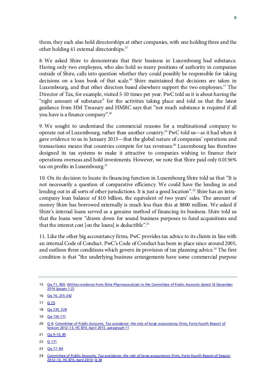them, they each also hold directorships at other companies, with one holding three and the other holding 41 external directorships[.15](#page-10-0)

8. We asked Shire to demonstrate that their business in Luxembourg had substance. Having only two employees, who also hold so many positions of authority in companies outside of Shire, calls into question whether they could possibly be responsible for taking decisions on a loan book of that scale.[16](#page-10-1) Shire maintained that decisions are taken in Luxembourg, and that other directors based elsewhere support the two employees.<sup>[17](#page-10-2)</sup> The Director of Tax, for example, visited 5-10 times per year. PwC told us it is about having the "right amount of substance" for the activities taking place and told us that the latest guidance from HM Treasury and HMRC says that "not much substance is required if all you have is a finance company"[.18](#page-10-3)

9. We sought to understand the commercial reasons for a multinational company to operate out of Luxembourg, rather than another country[.19](#page-10-4) PwC told us—as it had when it gave evidence to us in January 2013—that the global nature of companies' operations and transactions means that countries compete for tax revenues.<sup>[20](#page-10-5)</sup> Luxembourg has therefore designed its tax systems to make it attractive to companies wishing to finance their operations overseas and hold investments. However, we note that Shire paid only 0.0156% tax on profits in Luxembourg.<sup>[21](#page-10-6)</sup>

10. On its decision to locate its financing function in Luxembourg Shire told us that "It is not necessarily a question of comparative efficiency. We could have the lending in and lending out in all sorts of other jurisdictions. It is just a good location".<sup>[22](#page-10-7)</sup> Shire has an intracompany loan balance of \$10 billion, the equivalent of two years' sales. The amount of money Shire has borrowed externally is much less than this at \$800 million. We asked if Shire's internal loans served as a genuine method of financing its business. Shire told us that the loans were "drawn down for sound business purposes to fund acquisitions and that the interest cost [on the loans] is deductible". [23](#page-10-8)

11. Like the other big accountancy firms, PwC provides tax advice to its clients in line with an internal Code of Conduct. PwC's Code of Conduct has been in place since around 2005, and outlines three conditions which govern its provision of tax planning advice.<sup>24</sup> The first condition is that "the underlying business arrangements have some commercial purpose

<span id="page-10-8"></span>23 [Qq 77-](http://data.parliament.uk/writtenevidence/committeeevidence.svc/evidencedocument/public-accounts-committee/tax-avoidance-the-role-of-large-accountancy-firms-followup/oral/16207.html) 84

<span id="page-10-0"></span><sup>15</sup> [Qq 71, 300;](http://data.parliament.uk/writtenevidence/committeeevidence.svc/evidencedocument/public-accounts-committee/tax-avoidance-the-role-of-large-accountancy-firms-followup/written/17377.html) Written evidence from Shire Pharmaceuticals to the Committee of Public Accounts dated 16 December [2014 \(pages 1-2\)](http://data.parliament.uk/writtenevidence/committeeevidence.svc/evidencedocument/public-accounts-committee/tax-avoidance-the-role-of-large-accountancy-firms-followup/written/17378.html)

<span id="page-10-1"></span><sup>16</sup> [Qq 76, 235-242](http://data.parliament.uk/writtenevidence/committeeevidence.svc/evidencedocument/public-accounts-committee/tax-avoidance-the-role-of-large-accountancy-firms-followup/oral/16207.html)

<span id="page-10-2"></span><sup>17</sup> [Q 75](http://data.parliament.uk/writtenevidence/committeeevidence.svc/evidencedocument/public-accounts-committee/tax-avoidance-the-role-of-large-accountancy-firms-followup/oral/16207.html)

<span id="page-10-3"></span><sup>18</sup> [Qq 235, 328](http://data.parliament.uk/writtenevidence/committeeevidence.svc/evidencedocument/public-accounts-committee/tax-avoidance-the-role-of-large-accountancy-firms-followup/oral/16207.html)

<span id="page-10-4"></span><sup>19</sup> [Qq 155-171](http://data.parliament.uk/writtenevidence/committeeevidence.svc/evidencedocument/public-accounts-committee/tax-avoidance-the-role-of-large-accountancy-firms-followup/oral/16207.html)

<span id="page-10-5"></span><sup>20</sup> [Q 4;](http://data.parliament.uk/writtenevidence/committeeevidence.svc/evidencedocument/public-accounts-committee/tax-avoidance-the-role-of-large-accountancy-firms-followup/oral/16207.html) Committee of Public Accounts, *[Tax avoidance: the role of large accountancy firms](http://www.publications.parliament.uk/pa/cm201213/cmselect/cmpubacc/870/870.pdf)*, Forty-fourth Report of [Session 2012–13, HC 870, April 2013, paragraph 11](http://www.publications.parliament.uk/pa/cm201213/cmselect/cmpubacc/870/870.pdf)

<span id="page-10-6"></span><sup>21</sup> [Qq 9-10, 85](http://data.parliament.uk/writtenevidence/committeeevidence.svc/evidencedocument/public-accounts-committee/tax-avoidance-the-role-of-large-accountancy-firms-followup/oral/16207.html)

<span id="page-10-7"></span><sup>22</sup> [Q 171](http://data.parliament.uk/writtenevidence/committeeevidence.svc/evidencedocument/public-accounts-committee/tax-avoidance-the-role-of-large-accountancy-firms-followup/oral/16207.html)

<span id="page-10-9"></span><sup>24</sup> Committee of Public Accounts, *[Tax avoidance: the role of large accountancy firms](http://www.publications.parliament.uk/pa/cm201213/cmselect/cmpubacc/870/870.pdf)*, Forty-fourth Report of Session [2012–13, HC 870, April 2013;](http://www.publications.parliament.uk/pa/cm201213/cmselect/cmpubacc/870/870.pdf) [Q 34](http://data.parliament.uk/writtenevidence/committeeevidence.svc/evidencedocument/public-accounts-committee/tax-avoidance-the-role-of-large-accountancy-firms-followup/oral/16207.html)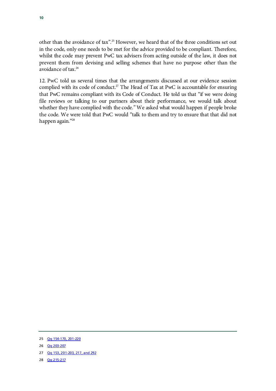other than the avoidance of tax".[25](#page-11-0) However, we heard that of the three conditions set out in the code, only one needs to be met for the advice provided to be compliant. Therefore, whilst the code may prevent PwC tax advisers from acting outside of the law, it does not prevent them from devising and selling schemes that have no purpose other than the avoidance of tax.[26](#page-11-1)

12. PwC told us several times that the arrangements discussed at our evidence session complied with its code of conduct.<sup>27</sup> The Head of Tax at PwC is accountable for ensuring that PwC remains compliant with its Code of Conduct. He told us that "if we were doing file reviews or talking to our partners about their performance, we would talk about whether they have complied with the code." We asked what would happen if people broke the code. We were told that PwC would "talk to them and try to ensure that that did not happen again.["28](#page-11-3)

<span id="page-11-0"></span><sup>25</sup> [Qq 154-170, 201-220](http://data.parliament.uk/writtenevidence/committeeevidence.svc/evidencedocument/public-accounts-committee/tax-avoidance-the-role-of-large-accountancy-firms-followup/oral/16207.html)

<span id="page-11-1"></span><sup>26</sup> [Qq 203-207](http://data.parliament.uk/writtenevidence/committeeevidence.svc/evidencedocument/public-accounts-committee/tax-avoidance-the-role-of-large-accountancy-firms-followup/oral/16207.html)

<span id="page-11-2"></span><sup>27</sup> [Qq 153, 201-203, 217, and 292](http://data.parliament.uk/writtenevidence/committeeevidence.svc/evidencedocument/public-accounts-committee/tax-avoidance-the-role-of-large-accountancy-firms-followup/oral/16207.html)

<span id="page-11-3"></span><sup>28</sup> [Qq 215-217](http://data.parliament.uk/writtenevidence/committeeevidence.svc/evidencedocument/public-accounts-committee/tax-avoidance-the-role-of-large-accountancy-firms-followup/oral/16207.html)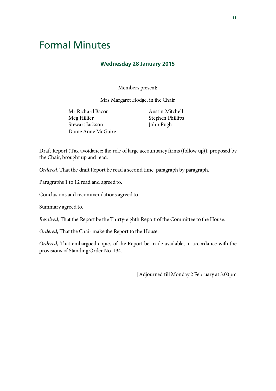# Formal Minutes

### **Wednesday 28 January 2015**

Members present:

Mrs Margaret Hodge, in the Chair

Mr Richard Bacon Meg Hillier Stewart Jackson Dame Anne McGuire Austin Mitchell Stephen Phillips John Pugh

Draft Report (Tax avoidance: the role of large accountancy firms (follow up)), proposed by the Chair, brought up and read.

*Ordered*, That the draft Report be read a second time, paragraph by paragraph.

Paragraphs 1 to 12 read and agreed to.

Conclusions and recommendations agreed to.

Summary agreed to.

*Resolved*, That the Report be the Thirty-eighth Report of the Committee to the House.

*Ordered*, That the Chair make the Report to the House.

*Ordered*, That embargoed copies of the Report be made available, in accordance with the provisions of Standing Order No. 134.

[Adjourned till Monday 2 February at 3.00pm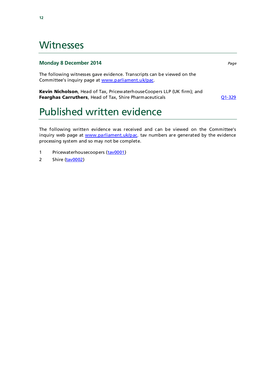### **Witnesses**

### **Monday 8 December 2014** *Page*

The following witnesses gave evidence. Transcripts can be viewed on the Committee's inquiry page at [www.parliament.uk/pac.](http://www.parliament.uk/pac)

Kevin Nicholson, Head of Tax, PricewaterhouseCoopers LLP (UK firm); and **Fearghas Carruthers**, Head of Tax, Shire Pharmaceuticals **[Q1-329](http://data.parliament.uk/writtenevidence/committeeevidence.svc/evidencedocument/public-accounts-committee/tax-avoidance-the-role-of-large-accountancy-firms-followup/oral/16207.html)** 

# Published written evidence

The following written evidence was received and can be viewed on the Committee's inquiry web page at [www.parliament.uk/pac.](http://www.parliament.uk/pac) tav numbers are generated by the evidence processing system and so may not be complete.

- 1 Pricewaterhousecoopers [\(tav0001\)](http://data.parliament.uk/WrittenEvidence/CommitteeEvidence.svc/EvidenceDocument/Public%20Accounts/Tax%20avoidance%20the%20role%20of%20large%20accountancy%20firms%20followup/written/17377.html)
- 2 Shire [\(tav0002\)](http://data.parliament.uk/WrittenEvidence/CommitteeEvidence.svc/EvidenceDocument/Public%20Accounts/Tax%20avoidance%20the%20role%20of%20large%20accountancy%20firms%20followup/written/17378.html)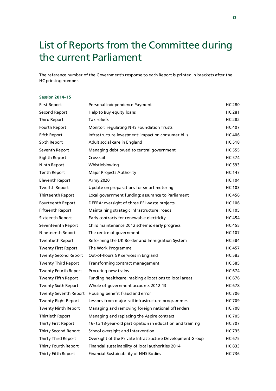# List of Reports from the Committee during the current Parliament

The reference number of the Government's response to each Report is printed in brackets after the HC printing number.

### **Session 2014–15**

| <b>First Report</b>          | Personal Independence Payment                             | <b>HC 280</b> |
|------------------------------|-----------------------------------------------------------|---------------|
| Second Report                | Help to Buy equity loans                                  | <b>HC 281</b> |
| <b>Third Report</b>          | Tax reliefs                                               | <b>HC 282</b> |
| Fourth Report                | Monitor: regulating NHS Foundation Trusts                 | <b>HC407</b>  |
| <b>Fifth Report</b>          | Infrastructure investment: impact on consumer bills       | <b>HC406</b>  |
| Sixth Report                 | Adult social care in England                              | <b>HC518</b>  |
| Seventh Report               | Managing debt owed to central government                  | <b>HC555</b>  |
| Eighth Report                | Crossrail                                                 | <b>HC574</b>  |
| Ninth Report                 | Whistleblowing                                            | <b>HC593</b>  |
| <b>Tenth Report</b>          | <b>Major Projects Authority</b>                           | <b>HC 147</b> |
| Eleventh Report              | Army 2020                                                 | <b>HC104</b>  |
| <b>Twelfth Report</b>        | Update on preparations for smart metering                 | <b>HC103</b>  |
| Thirteenth Report            | Local government funding: assurance to Parliament         | <b>HC456</b>  |
| Fourteenth Report            | DEFRA: oversight of three PFI waste projects              | <b>HC106</b>  |
| <b>Fifteenth Report</b>      | Maintaining strategic infrastructure: roads               | <b>HC105</b>  |
| Sixteenth Report             | Early contracts for renewable electricity                 | <b>HC454</b>  |
| Seventeenth Report           | Child maintenance 2012 scheme: early progress             | <b>HC455</b>  |
| Nineteenth Report            | The centre of government                                  | <b>HC107</b>  |
| <b>Twentieth Report</b>      | Reforming the UK Border and Immigration System            | <b>HC584</b>  |
| <b>Twenty First Report</b>   | The Work Programme                                        | <b>HC457</b>  |
| <b>Twenty Second Report</b>  | Out-of-hours GP services in England                       | <b>HC583</b>  |
| <b>Twenty Third Report</b>   | Transforming contract management                          | <b>HC585</b>  |
| <b>Twenty Fourth Report</b>  | Procuring new trains                                      | <b>HC674</b>  |
| <b>Twenty Fifth Report</b>   | Funding healthcare: making allocations to local areas     | HC 676        |
| <b>Twenty Sixth Report</b>   | Whole of government accounts 2012-13                      | <b>HC678</b>  |
| <b>Twenty Seventh Report</b> | Housing benefit fraud and error                           | <b>HC706</b>  |
| <b>Twenty Eight Report</b>   | Lessons from major rail infrastructure programmes         | <b>HC709</b>  |
| <b>Twenty Ninth Report</b>   | Managing and removing foreign national offenders          | <b>HC708</b>  |
| Thirtieth Report             | Managing and replacing the Aspire contract                | <b>HC705</b>  |
| Thirty First Report          | 16-to 18-year-old participation in education and training | HC 707        |
| Thirty Second Report         | School oversight and intervention                         | HC 735        |
| Thirty Third Report          | Oversight of the Private Infrastructure Development Group | <b>HC675</b>  |
| Thirty Fourth Report         | Financial sustainability of local authorities 2014        | HC 833        |
| Thirty Fifth Report          | Financial Sustainability of NHS Bodies                    | HC 736        |